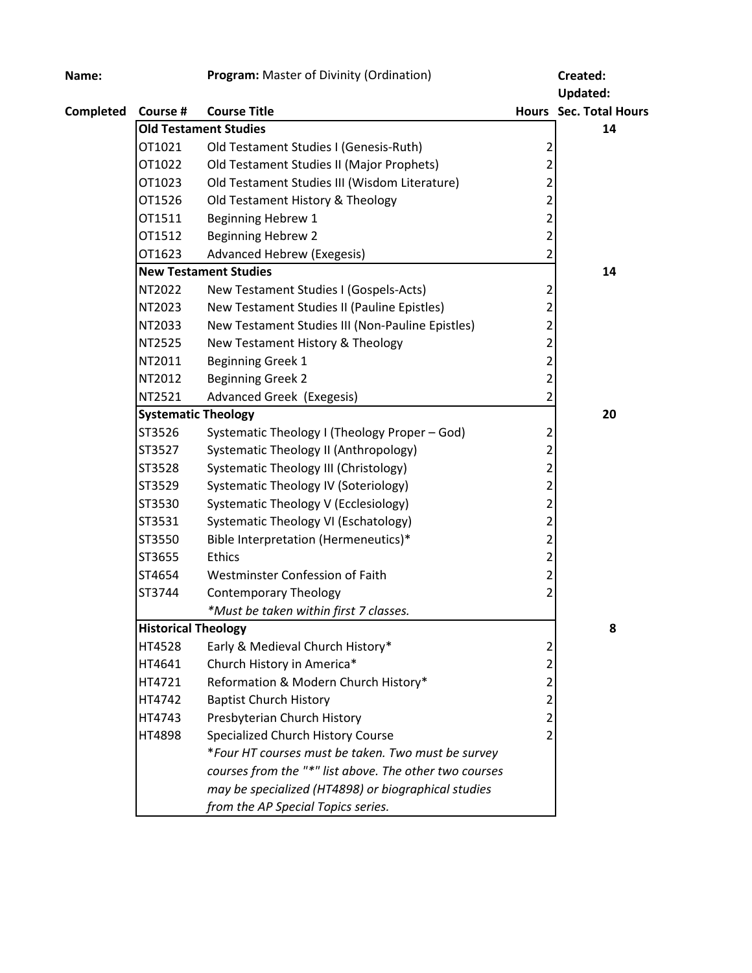| Name:     |                              | Program: Master of Divinity (Ordination)               |                         | Created:                      |
|-----------|------------------------------|--------------------------------------------------------|-------------------------|-------------------------------|
|           |                              |                                                        |                         | <b>Updated:</b>               |
| Completed | Course #                     | <b>Course Title</b>                                    |                         | <b>Hours</b> Sec. Total Hours |
|           | <b>Old Testament Studies</b> |                                                        | 14                      |                               |
|           | OT1021                       | Old Testament Studies I (Genesis-Ruth)                 | $\overline{\mathbf{c}}$ |                               |
|           | OT1022                       | Old Testament Studies II (Major Prophets)              | $\overline{2}$          |                               |
|           | OT1023                       | Old Testament Studies III (Wisdom Literature)          | $\overline{2}$          |                               |
|           | OT1526                       | Old Testament History & Theology                       | $\overline{2}$          |                               |
|           | OT1511                       | Beginning Hebrew 1                                     | $\overline{2}$          |                               |
|           | OT1512                       | <b>Beginning Hebrew 2</b>                              | $\overline{2}$          |                               |
|           | OT1623                       | Advanced Hebrew (Exegesis)                             | $\overline{2}$          |                               |
|           |                              | <b>New Testament Studies</b>                           |                         | 14                            |
|           | NT2022                       | New Testament Studies I (Gospels-Acts)                 | $\overline{2}$          |                               |
|           | NT2023                       | New Testament Studies II (Pauline Epistles)            | $\overline{c}$          |                               |
|           | NT2033                       | New Testament Studies III (Non-Pauline Epistles)       | $\overline{2}$          |                               |
|           | NT2525                       | New Testament History & Theology                       | $\overline{2}$          |                               |
|           | NT2011                       | Beginning Greek 1                                      | $\overline{2}$          |                               |
|           | NT2012                       | <b>Beginning Greek 2</b>                               | $\overline{a}$          |                               |
|           | NT2521                       | Advanced Greek (Exegesis)                              | $\overline{2}$          |                               |
|           | <b>Systematic Theology</b>   |                                                        |                         | 20                            |
|           | ST3526                       | Systematic Theology I (Theology Proper - God)          | $\overline{2}$          |                               |
|           | ST3527                       | Systematic Theology II (Anthropology)                  | $\overline{2}$          |                               |
|           | ST3528                       | Systematic Theology III (Christology)                  | $\overline{2}$          |                               |
|           | ST3529                       | Systematic Theology IV (Soteriology)                   | $\overline{a}$          |                               |
|           | ST3530                       | Systematic Theology V (Ecclesiology)                   | $\overline{2}$          |                               |
|           | ST3531                       | Systematic Theology VI (Eschatology)                   | $\overline{2}$          |                               |
|           | ST3550                       | Bible Interpretation (Hermeneutics)*                   | $\overline{a}$          |                               |
|           | ST3655                       | <b>Ethics</b>                                          | $\overline{2}$          |                               |
|           | ST4654                       | Westminster Confession of Faith                        | $\overline{2}$          |                               |
|           | ST3744                       | <b>Contemporary Theology</b>                           | $\overline{2}$          |                               |
|           |                              | *Must be taken within first 7 classes.                 |                         |                               |
|           | <b>Historical Theology</b>   |                                                        |                         | 8                             |
|           | HT4528                       | Early & Medieval Church History*                       | 2                       |                               |
|           | HT4641                       | Church History in America*                             | $\overline{c}$          |                               |
|           | HT4721                       | Reformation & Modern Church History*                   | $\overline{2}$          |                               |
|           | HT4742                       | <b>Baptist Church History</b>                          | $\overline{2}$          |                               |
|           | HT4743                       | Presbyterian Church History                            | $\overline{c}$          |                               |
|           | HT4898                       | Specialized Church History Course                      | $\overline{2}$          |                               |
|           |                              | *Four HT courses must be taken. Two must be survey     |                         |                               |
|           |                              | courses from the "*" list above. The other two courses |                         |                               |
|           |                              | may be specialized (HT4898) or biographical studies    |                         |                               |
|           |                              | from the AP Special Topics series.                     |                         |                               |
|           |                              |                                                        |                         |                               |